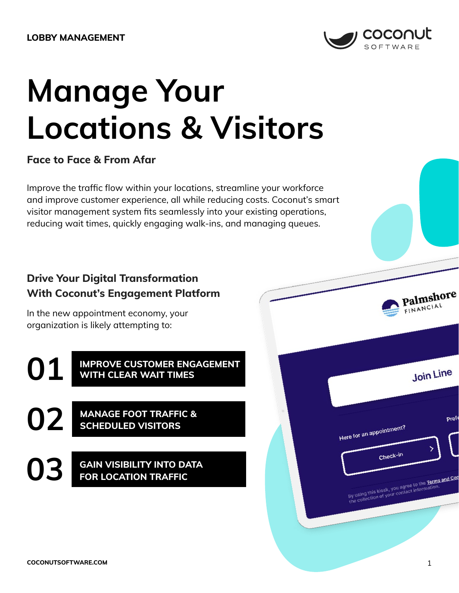

# **Manage Your Locations & Visitors**

## **Face to Face & From Afar**

Improve the traffic flow within your locations, streamline your workforce and improve customer experience, all while reducing costs. Coconut's smart visitor management system fits seamlessly into your existing operations, reducing wait times, quickly engaging walk-ins, and managing queues.

## **Drive Your Digital Transformation With Coconut's Engagement Platform**

In the new appointment economy, your organization is likely attempting to:

**IMPROVE CUSTOMER ENGAGEMENT 01 WITH CLEAR WAIT TIMES**

**MANAGE FOOT TRAFFIC & 02 SCHEDULED VISITORS** 

**GAIN VISIBILITY INTO DATA 03 FOR LOCATION TRAFFIC**

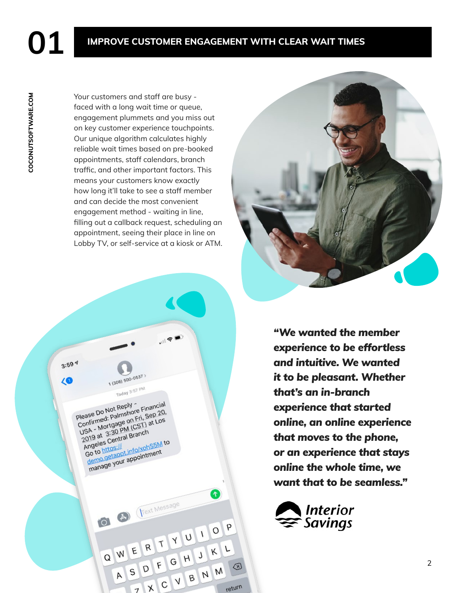# **001 IMPROVE CUSTOMER ENGAGEMENT WITH CLEAR WAIT TIMES**

COCONUTSOFTWARE.COM **[COCONUTSOFTWARE.COM](https://www.coconutsoftware.com/)**

Your customers and staff are busy faced with a long wait time or queue, engagement plummets and you miss out on key customer experience touchpoints. Our unique algorithm calculates highly reliable wait times based on pre-booked appointments, staff calendars, branch traffic, and other important factors. This means your customers know exactly how long it'll take to see a staff member and can decide the most convenient engagement method - waiting in line, filling out a callback request, scheduling an appointment, seeing their place in line on Lobby TV, or self-service at a kiosk or ATM.





*"We wanted the member experience to be effortless and intuitive. We wanted it to be pleasant. Whether that's an in-branch experience that started online, an online experience that moves to the phone, or an experience that stays online the whole time, we want that to be seamless."*

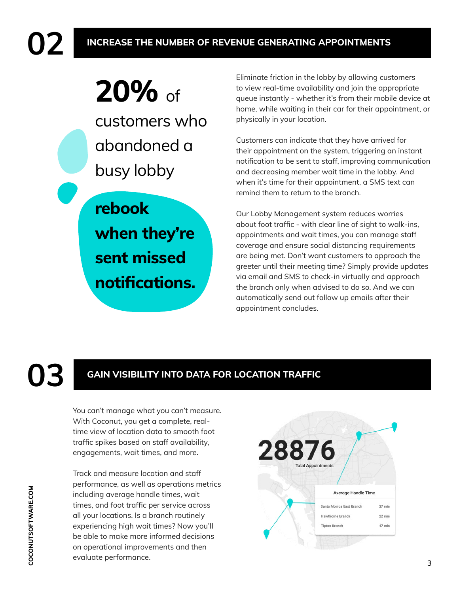# **20%** of customers who abandoned a busy lobby

**rebook when they're sent missed** 

**notifications.**

Eliminate friction in the lobby by allowing customers to view real-time availability and join the appropriate queue instantly - whether it's from their mobile device at home, while waiting in their car for their appointment, or physically in your location.

Customers can indicate that they have arrived for their appointment on the system, triggering an instant notification to be sent to staff, improving communication and decreasing member wait time in the lobby. And when it's time for their appointment, a SMS text can remind them to return to the branch.

Our Lobby Management system reduces worries about foot traffic - with clear line of sight to walk-ins, appointments and wait times, you can manage staff coverage and ensure social distancing requirements are being met. Don't want customers to approach the greeter until their meeting time? Simply provide updates via email and SMS to check-in virtually and approach the branch only when advised to do so. And we can automatically send out follow up emails after their appointment concludes.

# **03 GAIN VISIBILITY INTO DATA FOR LOCATION TRAFFIC**

You can't manage what you can't measure. With Coconut, you get a complete, realtime view of location data to smooth foot traffic spikes based on staff availability, engagements, wait times, and more.

Track and measure location and staff performance, as well as operations metrics including average handle times, wait times, and foot traffic per service across all your locations. Is a branch routinely experiencing high wait times? Now you'll be able to make more informed decisions on operational improvements and then evaluate performance.